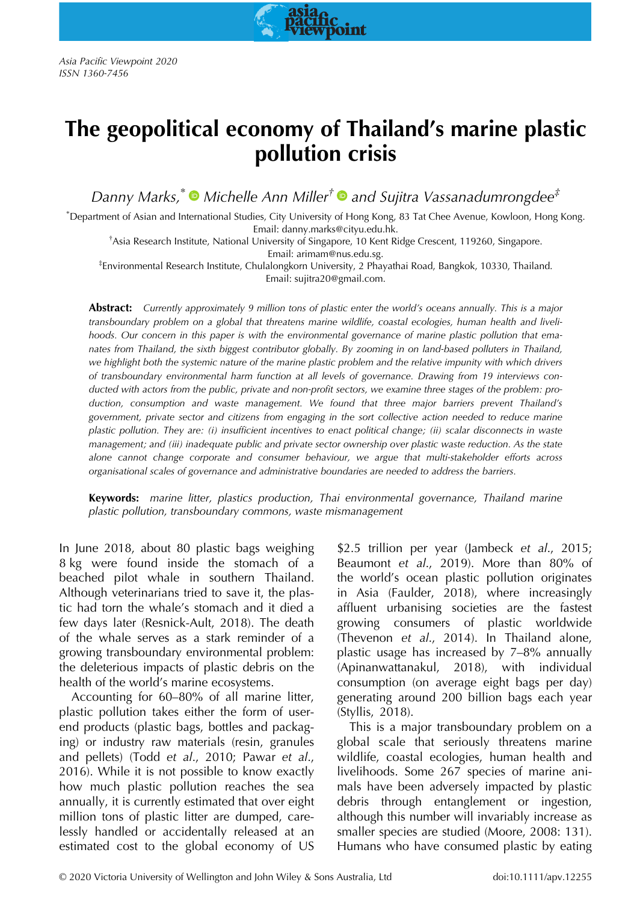Asia Pacific Viewpoint 2020 ISSN 1360-7456

# The geopolitical economy of Thailand's marine plastic pollution crisis

oint

Danny Marks,<sup>\*</sup>  $\bullet$  Michelle Ann Miller<sup>†</sup>  $\bullet$  and Sujitra Vassanadumrongdee<sup>‡</sup>

\* Department of Asian and International Studies, City University of Hong Kong, 83 Tat Chee Avenue, Kowloon, Hong Kong.

Email: danny.marks@cityu.edu.hk.<br>Asia Research Institute, National University of Singapore, 10 Kent Ridge Crescent, 119260, Singapore. \*

Email: arimam@nus.edu.sg.<br>Environmental Research Institute, Chulalongkorn University, 2 Phayathai Road, Bangkok, 10330, Thailand. Email: sujitra20@gmail.com.

Abstract: Currently approximately 9 million tons of plastic enter the world's oceans annually. This is a major transboundary problem on a global that threatens marine wildlife, coastal ecologies, human health and livelihoods. Our concern in this paper is with the environmental governance of marine plastic pollution that emanates from Thailand, the sixth biggest contributor globally. By zooming in on land-based polluters in Thailand, we highlight both the systemic nature of the marine plastic problem and the relative impunity with which drivers of transboundary environmental harm function at all levels of governance. Drawing from 19 interviews conducted with actors from the public, private and non-profit sectors, we examine three stages of the problem: production, consumption and waste management. We found that three major barriers prevent Thailand's government, private sector and citizens from engaging in the sort collective action needed to reduce marine plastic pollution. They are: (i) insufficient incentives to enact political change; (ii) scalar disconnects in waste management; and (iii) inadequate public and private sector ownership over plastic waste reduction. As the state alone cannot change corporate and consumer behaviour, we argue that multi-stakeholder efforts across organisational scales of governance and administrative boundaries are needed to address the barriers.

Keywords: marine litter, plastics production, Thai environmental governance, Thailand marine plastic pollution, transboundary commons, waste mismanagement

In June 2018, about 80 plastic bags weighing 8 kg were found inside the stomach of a beached pilot whale in southern Thailand. Although veterinarians tried to save it, the plastic had torn the whale's stomach and it died a few days later (Resnick-Ault, 2018). The death of the whale serves as a stark reminder of a growing transboundary environmental problem: the deleterious impacts of plastic debris on the health of the world's marine ecosystems.

Accounting for 60–80% of all marine litter, plastic pollution takes either the form of userend products (plastic bags, bottles and packaging) or industry raw materials (resin, granules and pellets) (Todd et al., 2010; Pawar et al., 2016). While it is not possible to know exactly how much plastic pollution reaches the sea annually, it is currently estimated that over eight million tons of plastic litter are dumped, carelessly handled or accidentally released at an estimated cost to the global economy of US \$2.5 trillion per year (Jambeck et al., 2015; Beaumont et al., 2019). More than 80% of the world's ocean plastic pollution originates in Asia (Faulder, 2018), where increasingly affluent urbanising societies are the fastest growing consumers of plastic worldwide (Thevenon et al., 2014). In Thailand alone, plastic usage has increased by 7–8% annually (Apinanwattanakul, 2018), with individual consumption (on average eight bags per day) generating around 200 billion bags each year (Styllis, 2018).

This is a major transboundary problem on a global scale that seriously threatens marine wildlife, coastal ecologies, human health and livelihoods. Some 267 species of marine animals have been adversely impacted by plastic debris through entanglement or ingestion, although this number will invariably increase as smaller species are studied (Moore, 2008: 131). Humans who have consumed plastic by eating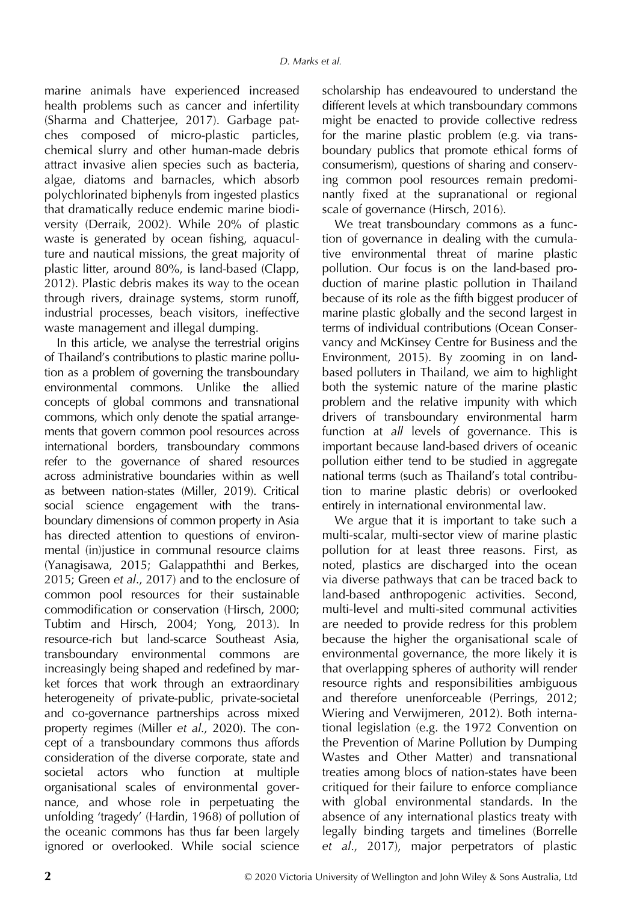marine animals have experienced increased health problems such as cancer and infertility (Sharma and Chatterjee, 2017). Garbage patches composed of micro-plastic particles, chemical slurry and other human-made debris attract invasive alien species such as bacteria, algae, diatoms and barnacles, which absorb polychlorinated biphenyls from ingested plastics that dramatically reduce endemic marine biodiversity (Derraik, 2002). While 20% of plastic waste is generated by ocean fishing, aquaculture and nautical missions, the great majority of plastic litter, around 80%, is land-based (Clapp, 2012). Plastic debris makes its way to the ocean through rivers, drainage systems, storm runoff, industrial processes, beach visitors, ineffective waste management and illegal dumping.

In this article, we analyse the terrestrial origins of Thailand's contributions to plastic marine pollution as a problem of governing the transboundary environmental commons. Unlike the allied concepts of global commons and transnational commons, which only denote the spatial arrangements that govern common pool resources across international borders, transboundary commons refer to the governance of shared resources across administrative boundaries within as well as between nation-states (Miller, 2019). Critical social science engagement with the transboundary dimensions of common property in Asia has directed attention to questions of environmental (in)justice in communal resource claims (Yanagisawa, 2015; Galappaththi and Berkes, 2015; Green et al., 2017) and to the enclosure of common pool resources for their sustainable commodification or conservation (Hirsch, 2000; Tubtim and Hirsch, 2004; Yong, 2013). In resource-rich but land-scarce Southeast Asia, transboundary environmental commons are increasingly being shaped and redefined by market forces that work through an extraordinary heterogeneity of private-public, private-societal and co-governance partnerships across mixed property regimes (Miller et al., 2020). The concept of a transboundary commons thus affords consideration of the diverse corporate, state and societal actors who function at multiple organisational scales of environmental governance, and whose role in perpetuating the unfolding 'tragedy' (Hardin, 1968) of pollution of the oceanic commons has thus far been largely ignored or overlooked. While social science

scholarship has endeavoured to understand the different levels at which transboundary commons might be enacted to provide collective redress for the marine plastic problem (e.g. via transboundary publics that promote ethical forms of consumerism), questions of sharing and conserving common pool resources remain predominantly fixed at the supranational or regional scale of governance (Hirsch, 2016).

We treat transboundary commons as a function of governance in dealing with the cumulative environmental threat of marine plastic pollution. Our focus is on the land-based production of marine plastic pollution in Thailand because of its role as the fifth biggest producer of marine plastic globally and the second largest in terms of individual contributions (Ocean Conservancy and McKinsey Centre for Business and the Environment, 2015). By zooming in on landbased polluters in Thailand, we aim to highlight both the systemic nature of the marine plastic problem and the relative impunity with which drivers of transboundary environmental harm function at all levels of governance. This is important because land-based drivers of oceanic pollution either tend to be studied in aggregate national terms (such as Thailand's total contribution to marine plastic debris) or overlooked entirely in international environmental law.

We argue that it is important to take such a multi-scalar, multi-sector view of marine plastic pollution for at least three reasons. First, as noted, plastics are discharged into the ocean via diverse pathways that can be traced back to land-based anthropogenic activities. Second, multi-level and multi-sited communal activities are needed to provide redress for this problem because the higher the organisational scale of environmental governance, the more likely it is that overlapping spheres of authority will render resource rights and responsibilities ambiguous and therefore unenforceable (Perrings, 2012; Wiering and Verwijmeren, 2012). Both international legislation (e.g. the 1972 Convention on the Prevention of Marine Pollution by Dumping Wastes and Other Matter) and transnational treaties among blocs of nation-states have been critiqued for their failure to enforce compliance with global environmental standards. In the absence of any international plastics treaty with legally binding targets and timelines (Borrelle et al., 2017), major perpetrators of plastic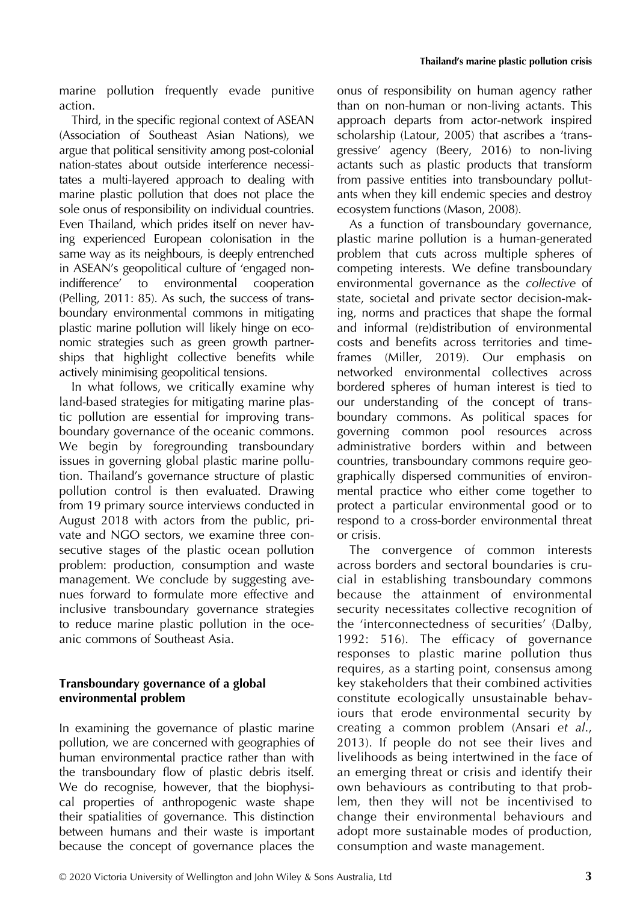marine pollution frequently evade punitive action.

Third, in the specific regional context of ASEAN (Association of Southeast Asian Nations), we argue that political sensitivity among post-colonial nation-states about outside interference necessitates a multi-layered approach to dealing with marine plastic pollution that does not place the sole onus of responsibility on individual countries. Even Thailand, which prides itself on never having experienced European colonisation in the same way as its neighbours, is deeply entrenched in ASEAN's geopolitical culture of 'engaged nonindifference' to environmental cooperation (Pelling, 2011: 85). As such, the success of transboundary environmental commons in mitigating plastic marine pollution will likely hinge on economic strategies such as green growth partnerships that highlight collective benefits while actively minimising geopolitical tensions.

In what follows, we critically examine why land-based strategies for mitigating marine plastic pollution are essential for improving transboundary governance of the oceanic commons. We begin by foregrounding transboundary issues in governing global plastic marine pollution. Thailand's governance structure of plastic pollution control is then evaluated. Drawing from 19 primary source interviews conducted in August 2018 with actors from the public, private and NGO sectors, we examine three consecutive stages of the plastic ocean pollution problem: production, consumption and waste management. We conclude by suggesting avenues forward to formulate more effective and inclusive transboundary governance strategies to reduce marine plastic pollution in the oceanic commons of Southeast Asia.

# Transboundary governance of a global environmental problem

In examining the governance of plastic marine pollution, we are concerned with geographies of human environmental practice rather than with the transboundary flow of plastic debris itself. We do recognise, however, that the biophysical properties of anthropogenic waste shape their spatialities of governance. This distinction between humans and their waste is important because the concept of governance places the onus of responsibility on human agency rather than on non-human or non-living actants. This approach departs from actor-network inspired scholarship (Latour, 2005) that ascribes a 'transgressive' agency (Beery, 2016) to non-living actants such as plastic products that transform from passive entities into transboundary pollutants when they kill endemic species and destroy ecosystem functions (Mason, 2008).

As a function of transboundary governance, plastic marine pollution is a human-generated problem that cuts across multiple spheres of competing interests. We define transboundary environmental governance as the collective of state, societal and private sector decision-making, norms and practices that shape the formal and informal (re)distribution of environmental costs and benefits across territories and timeframes (Miller, 2019). Our emphasis on networked environmental collectives across bordered spheres of human interest is tied to our understanding of the concept of transboundary commons. As political spaces for governing common pool resources across administrative borders within and between countries, transboundary commons require geographically dispersed communities of environmental practice who either come together to protect a particular environmental good or to respond to a cross-border environmental threat or crisis.

The convergence of common interests across borders and sectoral boundaries is crucial in establishing transboundary commons because the attainment of environmental security necessitates collective recognition of the 'interconnectedness of securities' (Dalby, 1992: 516). The efficacy of governance responses to plastic marine pollution thus requires, as a starting point, consensus among key stakeholders that their combined activities constitute ecologically unsustainable behaviours that erode environmental security by creating a common problem (Ansari et al., 2013). If people do not see their lives and livelihoods as being intertwined in the face of an emerging threat or crisis and identify their own behaviours as contributing to that problem, then they will not be incentivised to change their environmental behaviours and adopt more sustainable modes of production, consumption and waste management.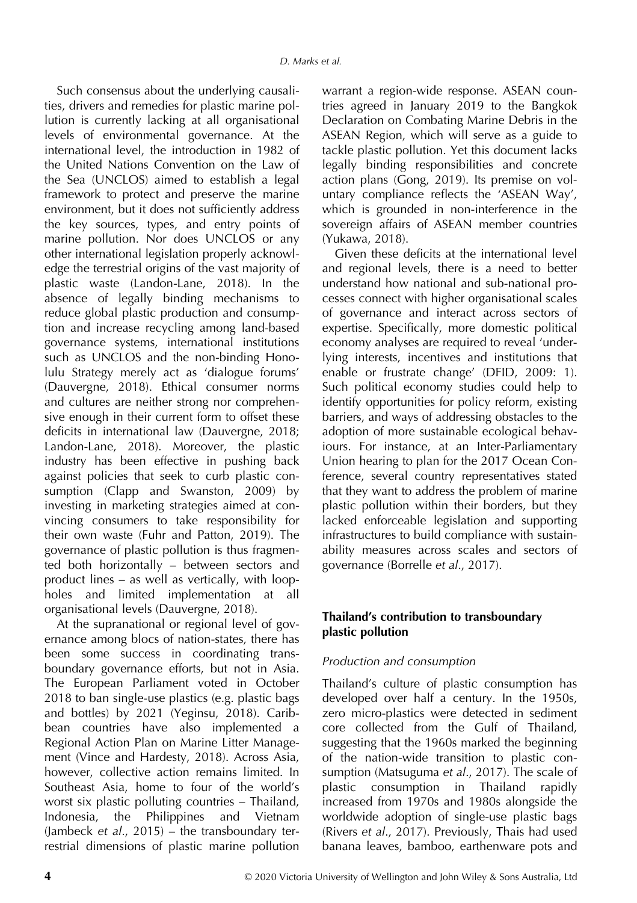Such consensus about the underlying causalities, drivers and remedies for plastic marine pollution is currently lacking at all organisational levels of environmental governance. At the international level, the introduction in 1982 of the United Nations Convention on the Law of the Sea (UNCLOS) aimed to establish a legal framework to protect and preserve the marine environment, but it does not sufficiently address the key sources, types, and entry points of marine pollution. Nor does UNCLOS or any other international legislation properly acknowledge the terrestrial origins of the vast majority of plastic waste (Landon-Lane, 2018). In the absence of legally binding mechanisms to reduce global plastic production and consumption and increase recycling among land-based governance systems, international institutions such as UNCLOS and the non-binding Honolulu Strategy merely act as 'dialogue forums' (Dauvergne, 2018). Ethical consumer norms and cultures are neither strong nor comprehensive enough in their current form to offset these deficits in international law (Dauvergne, 2018; Landon-Lane, 2018). Moreover, the plastic industry has been effective in pushing back against policies that seek to curb plastic consumption (Clapp and Swanston, 2009) by investing in marketing strategies aimed at convincing consumers to take responsibility for their own waste (Fuhr and Patton, 2019). The governance of plastic pollution is thus fragmented both horizontally – between sectors and product lines – as well as vertically, with loopholes and limited implementation at all organisational levels (Dauvergne, 2018).

At the supranational or regional level of governance among blocs of nation-states, there has been some success in coordinating transboundary governance efforts, but not in Asia. The European Parliament voted in October 2018 to ban single-use plastics (e.g. plastic bags and bottles) by 2021 (Yeginsu, 2018). Caribbean countries have also implemented a Regional Action Plan on Marine Litter Management (Vince and Hardesty, 2018). Across Asia, however, collective action remains limited. In Southeast Asia, home to four of the world's worst six plastic polluting countries – Thailand, Indonesia, the Philippines and Vietnam (Jambeck et al., 2015) – the transboundary terrestrial dimensions of plastic marine pollution

warrant a region-wide response. ASEAN countries agreed in January 2019 to the Bangkok Declaration on Combating Marine Debris in the ASEAN Region, which will serve as a guide to tackle plastic pollution. Yet this document lacks legally binding responsibilities and concrete action plans (Gong, 2019). Its premise on voluntary compliance reflects the 'ASEAN Way', which is grounded in non-interference in the sovereign affairs of ASEAN member countries (Yukawa, 2018).

Given these deficits at the international level and regional levels, there is a need to better understand how national and sub-national processes connect with higher organisational scales of governance and interact across sectors of expertise. Specifically, more domestic political economy analyses are required to reveal 'underlying interests, incentives and institutions that enable or frustrate change' (DFID, 2009: 1). Such political economy studies could help to identify opportunities for policy reform, existing barriers, and ways of addressing obstacles to the adoption of more sustainable ecological behaviours. For instance, at an Inter-Parliamentary Union hearing to plan for the 2017 Ocean Conference, several country representatives stated that they want to address the problem of marine plastic pollution within their borders, but they lacked enforceable legislation and supporting infrastructures to build compliance with sustainability measures across scales and sectors of governance (Borrelle et al., 2017).

# Thailand's contribution to transboundary plastic pollution

# Production and consumption

Thailand's culture of plastic consumption has developed over half a century. In the 1950s, zero micro-plastics were detected in sediment core collected from the Gulf of Thailand, suggesting that the 1960s marked the beginning of the nation-wide transition to plastic consumption (Matsuguma et al., 2017). The scale of plastic consumption in Thailand rapidly increased from 1970s and 1980s alongside the worldwide adoption of single-use plastic bags (Rivers et al., 2017). Previously, Thais had used banana leaves, bamboo, earthenware pots and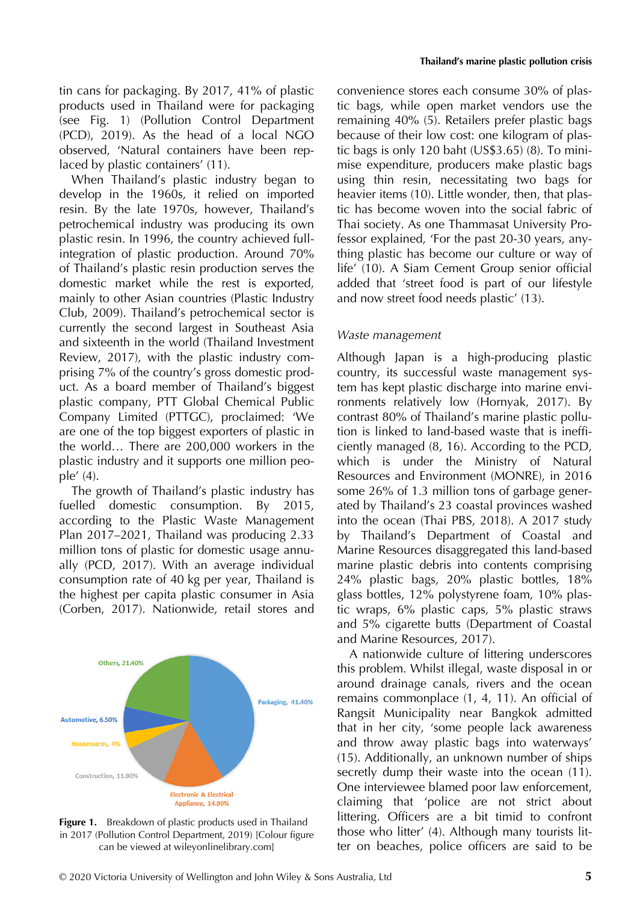tin cans for packaging. By 2017, 41% of plastic products used in Thailand were for packaging (see Fig. 1) (Pollution Control Department (PCD), 2019). As the head of a local NGO observed, 'Natural containers have been replaced by plastic containers' (11).

When Thailand's plastic industry began to develop in the 1960s, it relied on imported resin. By the late 1970s, however, Thailand's petrochemical industry was producing its own plastic resin. In 1996, the country achieved fullintegration of plastic production. Around 70% of Thailand's plastic resin production serves the domestic market while the rest is exported, mainly to other Asian countries (Plastic Industry Club, 2009). Thailand's petrochemical sector is currently the second largest in Southeast Asia and sixteenth in the world (Thailand Investment Review, 2017), with the plastic industry comprising 7% of the country's gross domestic product. As a board member of Thailand's biggest plastic company, PTT Global Chemical Public Company Limited (PTTGC), proclaimed: 'We are one of the top biggest exporters of plastic in the world… There are 200,000 workers in the plastic industry and it supports one million people' (4).

The growth of Thailand's plastic industry has fuelled domestic consumption. By 2015, according to the Plastic Waste Management Plan 2017–2021, Thailand was producing 2.33 million tons of plastic for domestic usage annually (PCD, 2017). With an average individual consumption rate of 40 kg per year, Thailand is the highest per capita plastic consumer in Asia (Corben, 2017). Nationwide, retail stores and



Figure 1. Breakdown of plastic products used in Thailand in 2017 (Pollution Control Department, 2019) [Colour figure can be viewed at [wileyonlinelibrary.com\]](http://wileyonlinelibrary.com)

convenience stores each consume 30% of plastic bags, while open market vendors use the remaining 40% (5). Retailers prefer plastic bags because of their low cost: one kilogram of plastic bags is only 120 baht (US\$3.65) (8). To minimise expenditure, producers make plastic bags using thin resin, necessitating two bags for heavier items (10). Little wonder, then, that plastic has become woven into the social fabric of Thai society. As one Thammasat University Professor explained, 'For the past 20-30 years, anything plastic has become our culture or way of life' (10). A Siam Cement Group senior official added that 'street food is part of our lifestyle and now street food needs plastic' (13).

#### Waste management

Although Japan is a high-producing plastic country, its successful waste management system has kept plastic discharge into marine environments relatively low (Hornyak, 2017). By contrast 80% of Thailand's marine plastic pollution is linked to land-based waste that is inefficiently managed (8, 16). According to the PCD, which is under the Ministry of Natural Resources and Environment (MONRE), in 2016 some 26% of 1.3 million tons of garbage generated by Thailand's 23 coastal provinces washed into the ocean (Thai PBS, 2018). A 2017 study by Thailand's Department of Coastal and Marine Resources disaggregated this land-based marine plastic debris into contents comprising 24% plastic bags, 20% plastic bottles, 18% glass bottles, 12% polystyrene foam, 10% plastic wraps, 6% plastic caps, 5% plastic straws and 5% cigarette butts (Department of Coastal and Marine Resources, 2017).

A nationwide culture of littering underscores this problem. Whilst illegal, waste disposal in or around drainage canals, rivers and the ocean remains commonplace (1, 4, 11). An official of Rangsit Municipality near Bangkok admitted that in her city, 'some people lack awareness and throw away plastic bags into waterways' (15). Additionally, an unknown number of ships secretly dump their waste into the ocean (11). One interviewee blamed poor law enforcement, claiming that 'police are not strict about littering. Officers are a bit timid to confront those who litter' (4). Although many tourists litter on beaches, police officers are said to be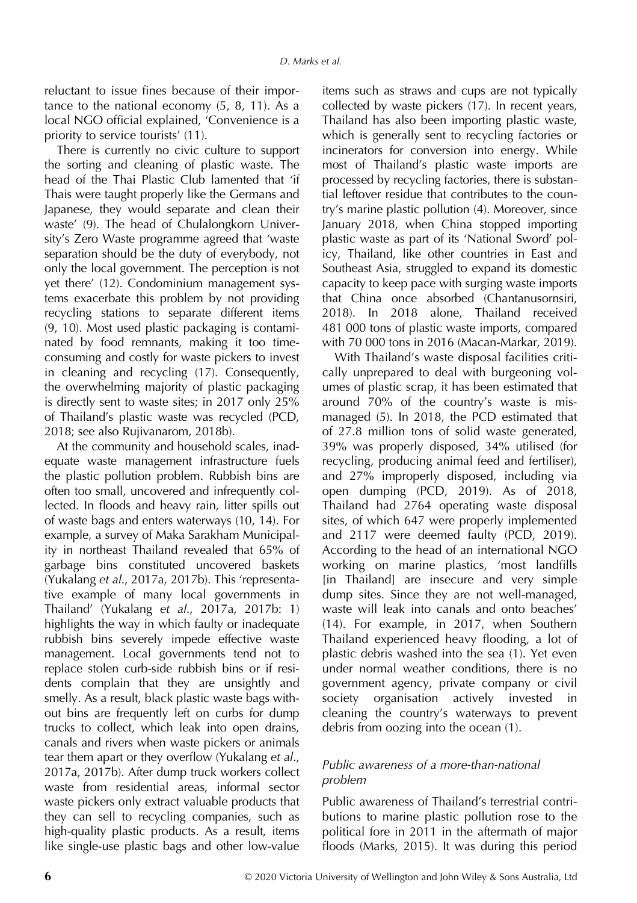reluctant to issue fines because of their importance to the national economy (5, 8, 11). As a local NGO official explained, 'Convenience is a priority to service tourists' (11).

There is currently no civic culture to support the sorting and cleaning of plastic waste. The head of the Thai Plastic Club lamented that 'if Thais were taught properly like the Germans and Japanese, they would separate and clean their waste' (9). The head of Chulalongkorn University's Zero Waste programme agreed that 'waste separation should be the duty of everybody, not only the local government. The perception is not yet there' (12). Condominium management systems exacerbate this problem by not providing recycling stations to separate different items (9, 10). Most used plastic packaging is contaminated by food remnants, making it too timeconsuming and costly for waste pickers to invest in cleaning and recycling (17). Consequently, the overwhelming majority of plastic packaging is directly sent to waste sites; in 2017 only 25% of Thailand's plastic waste was recycled (PCD, 2018; see also Rujivanarom, 2018b).

At the community and household scales, inadequate waste management infrastructure fuels the plastic pollution problem. Rubbish bins are often too small, uncovered and infrequently collected. In floods and heavy rain, litter spills out of waste bags and enters waterways (10, 14). For example, a survey of Maka Sarakham Municipality in northeast Thailand revealed that 65% of garbage bins constituted uncovered baskets (Yukalang et al., 2017a, 2017b). This 'representative example of many local governments in Thailand' (Yukalang et al., 2017a, 2017b: 1) highlights the way in which faulty or inadequate rubbish bins severely impede effective waste management. Local governments tend not to replace stolen curb-side rubbish bins or if residents complain that they are unsightly and smelly. As a result, black plastic waste bags without bins are frequently left on curbs for dump trucks to collect, which leak into open drains, canals and rivers when waste pickers or animals tear them apart or they overflow (Yukalang et al., 2017a, 2017b). After dump truck workers collect waste from residential areas, informal sector waste pickers only extract valuable products that they can sell to recycling companies, such as high-quality plastic products. As a result, items like single-use plastic bags and other low-value

items such as straws and cups are not typically collected by waste pickers (17). In recent years, Thailand has also been importing plastic waste, which is generally sent to recycling factories or incinerators for conversion into energy. While most of Thailand's plastic waste imports are processed by recycling factories, there is substantial leftover residue that contributes to the country's marine plastic pollution (4). Moreover, since January 2018, when China stopped importing plastic waste as part of its 'National Sword' policy, Thailand, like other countries in East and Southeast Asia, struggled to expand its domestic capacity to keep pace with surging waste imports that China once absorbed (Chantanusornsiri, 2018). In 2018 alone, Thailand received 481 000 tons of plastic waste imports, compared with 70 000 tons in 2016 (Macan-Markar, 2019).

With Thailand's waste disposal facilities critically unprepared to deal with burgeoning volumes of plastic scrap, it has been estimated that around 70% of the country's waste is mismanaged (5). In 2018, the PCD estimated that of 27.8 million tons of solid waste generated, 39% was properly disposed, 34% utilised (for recycling, producing animal feed and fertiliser), and 27% improperly disposed, including via open dumping (PCD, 2019). As of 2018, Thailand had 2764 operating waste disposal sites, of which 647 were properly implemented and 2117 were deemed faulty (PCD, 2019). According to the head of an international NGO working on marine plastics, 'most landfills [in Thailand] are insecure and very simple dump sites. Since they are not well-managed, waste will leak into canals and onto beaches' (14). For example, in 2017, when Southern Thailand experienced heavy flooding, a lot of plastic debris washed into the sea (1). Yet even under normal weather conditions, there is no government agency, private company or civil society organisation actively invested in cleaning the country's waterways to prevent debris from oozing into the ocean (1).

# Public awareness of a more-than-national problem

Public awareness of Thailand's terrestrial contributions to marine plastic pollution rose to the political fore in 2011 in the aftermath of major floods (Marks, 2015). It was during this period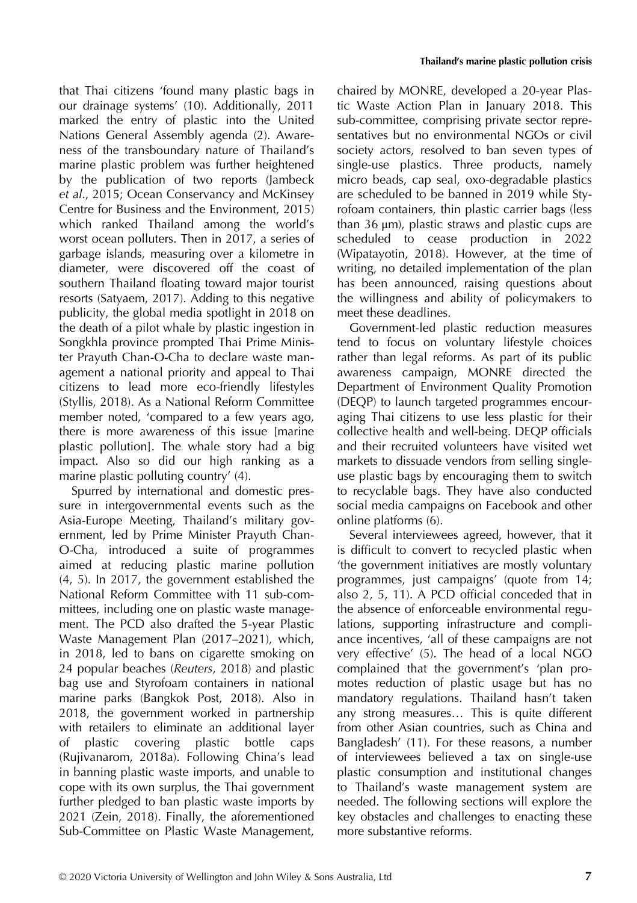that Thai citizens 'found many plastic bags in our drainage systems' (10). Additionally, 2011 marked the entry of plastic into the United Nations General Assembly agenda (2). Awareness of the transboundary nature of Thailand's marine plastic problem was further heightened by the publication of two reports (Jambeck et al., 2015; Ocean Conservancy and McKinsey Centre for Business and the Environment, 2015) which ranked Thailand among the world's worst ocean polluters. Then in 2017, a series of garbage islands, measuring over a kilometre in diameter, were discovered off the coast of southern Thailand floating toward major tourist resorts (Satyaem, 2017). Adding to this negative publicity, the global media spotlight in 2018 on the death of a pilot whale by plastic ingestion in Songkhla province prompted Thai Prime Minister Prayuth Chan-O-Cha to declare waste management a national priority and appeal to Thai citizens to lead more eco-friendly lifestyles (Styllis, 2018). As a National Reform Committee member noted, 'compared to a few years ago, there is more awareness of this issue [marine plastic pollution]. The whale story had a big impact. Also so did our high ranking as a marine plastic polluting country' (4).

Spurred by international and domestic pressure in intergovernmental events such as the Asia-Europe Meeting, Thailand's military government, led by Prime Minister Prayuth Chan-O-Cha, introduced a suite of programmes aimed at reducing plastic marine pollution (4, 5). In 2017, the government established the National Reform Committee with 11 sub-committees, including one on plastic waste management. The PCD also drafted the 5-year Plastic Waste Management Plan (2017–2021), which, in 2018, led to bans on cigarette smoking on 24 popular beaches (Reuters, 2018) and plastic bag use and Styrofoam containers in national marine parks (Bangkok Post, 2018). Also in 2018, the government worked in partnership with retailers to eliminate an additional layer of plastic covering plastic bottle caps (Rujivanarom, 2018a). Following China's lead in banning plastic waste imports, and unable to cope with its own surplus, the Thai government further pledged to ban plastic waste imports by 2021 (Zein, 2018). Finally, the aforementioned Sub-Committee on Plastic Waste Management,

chaired by MONRE, developed a 20-year Plastic Waste Action Plan in January 2018. This sub-committee, comprising private sector representatives but no environmental NGOs or civil society actors, resolved to ban seven types of single-use plastics. Three products, namely micro beads, cap seal, oxo-degradable plastics are scheduled to be banned in 2019 while Styrofoam containers, thin plastic carrier bags (less than 36 μm), plastic straws and plastic cups are scheduled to cease production in 2022 (Wipatayotin, 2018). However, at the time of writing, no detailed implementation of the plan has been announced, raising questions about the willingness and ability of policymakers to meet these deadlines.

Government-led plastic reduction measures tend to focus on voluntary lifestyle choices rather than legal reforms. As part of its public awareness campaign, MONRE directed the Department of Environment Quality Promotion (DEQP) to launch targeted programmes encouraging Thai citizens to use less plastic for their collective health and well-being. DEQP officials and their recruited volunteers have visited wet markets to dissuade vendors from selling singleuse plastic bags by encouraging them to switch to recyclable bags. They have also conducted social media campaigns on Facebook and other online platforms (6).

Several interviewees agreed, however, that it is difficult to convert to recycled plastic when 'the government initiatives are mostly voluntary programmes, just campaigns' (quote from 14; also 2, 5, 11). A PCD official conceded that in the absence of enforceable environmental regulations, supporting infrastructure and compliance incentives, 'all of these campaigns are not very effective' (5). The head of a local NGO complained that the government's 'plan promotes reduction of plastic usage but has no mandatory regulations. Thailand hasn't taken any strong measures… This is quite different from other Asian countries, such as China and Bangladesh' (11). For these reasons, a number of interviewees believed a tax on single-use plastic consumption and institutional changes to Thailand's waste management system are needed. The following sections will explore the key obstacles and challenges to enacting these more substantive reforms.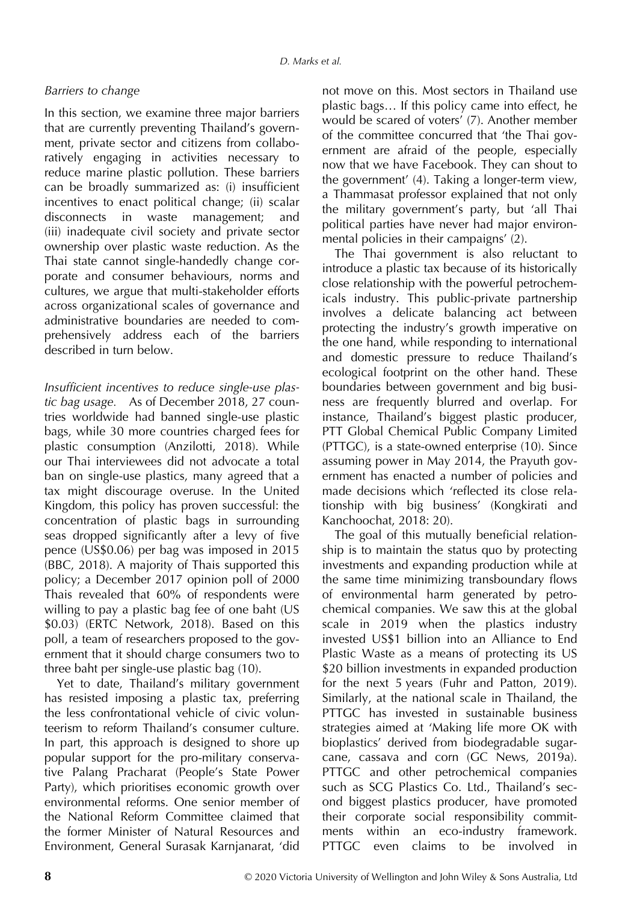#### Barriers to change

In this section, we examine three major barriers that are currently preventing Thailand's government, private sector and citizens from collaboratively engaging in activities necessary to reduce marine plastic pollution. These barriers can be broadly summarized as: (i) insufficient incentives to enact political change; (ii) scalar disconnects in waste management; and (iii) inadequate civil society and private sector ownership over plastic waste reduction. As the Thai state cannot single-handedly change corporate and consumer behaviours, norms and cultures, we argue that multi-stakeholder efforts across organizational scales of governance and administrative boundaries are needed to comprehensively address each of the barriers described in turn below.

Insufficient incentives to reduce single-use plastic bag usage. As of December 2018, 27 countries worldwide had banned single-use plastic bags, while 30 more countries charged fees for plastic consumption (Anzilotti, 2018). While our Thai interviewees did not advocate a total ban on single-use plastics, many agreed that a tax might discourage overuse. In the United Kingdom, this policy has proven successful: the concentration of plastic bags in surrounding seas dropped significantly after a levy of five pence (US\$0.06) per bag was imposed in 2015 (BBC, 2018). A majority of Thais supported this policy; a December 2017 opinion poll of 2000 Thais revealed that 60% of respondents were willing to pay a plastic bag fee of one baht (US \$0.03) (ERTC Network, 2018). Based on this poll, a team of researchers proposed to the government that it should charge consumers two to three baht per single-use plastic bag (10).

Yet to date, Thailand's military government has resisted imposing a plastic tax, preferring the less confrontational vehicle of civic volunteerism to reform Thailand's consumer culture. In part, this approach is designed to shore up popular support for the pro-military conservative Palang Pracharat (People's State Power Party), which prioritises economic growth over environmental reforms. One senior member of the National Reform Committee claimed that the former Minister of Natural Resources and Environment, General Surasak Karnjanarat, 'did

not move on this. Most sectors in Thailand use plastic bags… If this policy came into effect, he would be scared of voters' (7). Another member of the committee concurred that 'the Thai government are afraid of the people, especially now that we have Facebook. They can shout to the government' (4). Taking a longer-term view, a Thammasat professor explained that not only the military government's party, but 'all Thai political parties have never had major environmental policies in their campaigns' (2).

The Thai government is also reluctant to introduce a plastic tax because of its historically close relationship with the powerful petrochemicals industry. This public-private partnership involves a delicate balancing act between protecting the industry's growth imperative on the one hand, while responding to international and domestic pressure to reduce Thailand's ecological footprint on the other hand. These boundaries between government and big business are frequently blurred and overlap. For instance, Thailand's biggest plastic producer, PTT Global Chemical Public Company Limited (PTTGC), is a state-owned enterprise (10). Since assuming power in May 2014, the Prayuth government has enacted a number of policies and made decisions which 'reflected its close relationship with big business' (Kongkirati and Kanchoochat, 2018: 20).

The goal of this mutually beneficial relationship is to maintain the status quo by protecting investments and expanding production while at the same time minimizing transboundary flows of environmental harm generated by petrochemical companies. We saw this at the global scale in 2019 when the plastics industry invested US\$1 billion into an Alliance to End Plastic Waste as a means of protecting its US \$20 billion investments in expanded production for the next 5 years (Fuhr and Patton, 2019). Similarly, at the national scale in Thailand, the PTTGC has invested in sustainable business strategies aimed at 'Making life more OK with bioplastics' derived from biodegradable sugarcane, cassava and corn (GC News, 2019a). PTTGC and other petrochemical companies such as SCG Plastics Co. Ltd., Thailand's second biggest plastics producer, have promoted their corporate social responsibility commitments within an eco-industry framework. PTTGC even claims to be involved in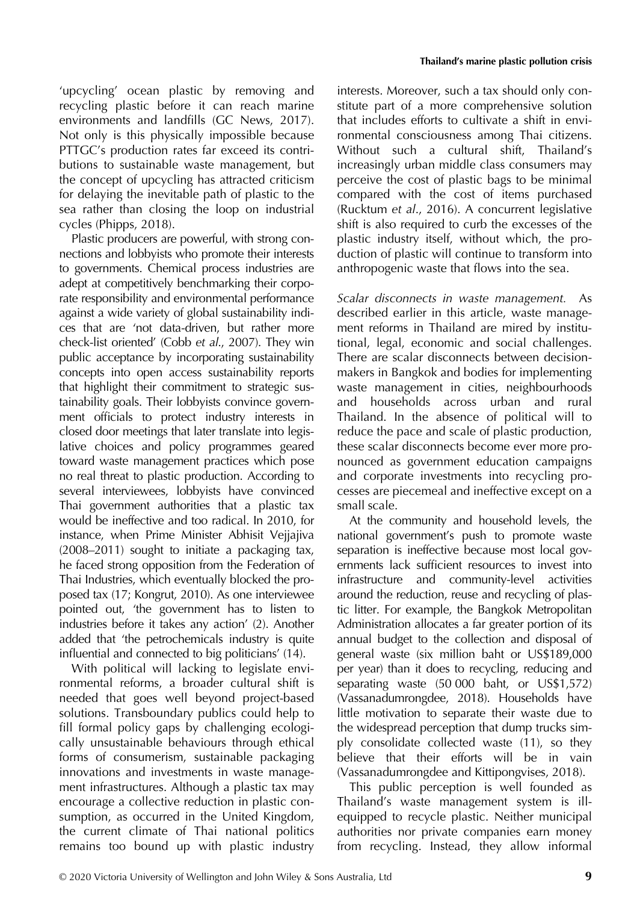'upcycling' ocean plastic by removing and recycling plastic before it can reach marine environments and landfills (GC News, 2017). Not only is this physically impossible because PTTGC's production rates far exceed its contributions to sustainable waste management, but the concept of upcycling has attracted criticism for delaying the inevitable path of plastic to the sea rather than closing the loop on industrial cycles (Phipps, 2018).

Plastic producers are powerful, with strong connections and lobbyists who promote their interests to governments. Chemical process industries are adept at competitively benchmarking their corporate responsibility and environmental performance against a wide variety of global sustainability indices that are 'not data-driven, but rather more check-list oriented' (Cobb et al., 2007). They win public acceptance by incorporating sustainability concepts into open access sustainability reports that highlight their commitment to strategic sustainability goals. Their lobbyists convince government officials to protect industry interests in closed door meetings that later translate into legislative choices and policy programmes geared toward waste management practices which pose no real threat to plastic production. According to several interviewees, lobbyists have convinced Thai government authorities that a plastic tax would be ineffective and too radical. In 2010, for instance, when Prime Minister Abhisit Vejjajiva (2008–2011) sought to initiate a packaging tax, he faced strong opposition from the Federation of Thai Industries, which eventually blocked the proposed tax (17; Kongrut, 2010). As one interviewee pointed out, 'the government has to listen to industries before it takes any action' (2). Another added that 'the petrochemicals industry is quite influential and connected to big politicians' (14).

With political will lacking to legislate environmental reforms, a broader cultural shift is needed that goes well beyond project-based solutions. Transboundary publics could help to fill formal policy gaps by challenging ecologically unsustainable behaviours through ethical forms of consumerism, sustainable packaging innovations and investments in waste management infrastructures. Although a plastic tax may encourage a collective reduction in plastic consumption, as occurred in the United Kingdom, the current climate of Thai national politics remains too bound up with plastic industry

interests. Moreover, such a tax should only constitute part of a more comprehensive solution that includes efforts to cultivate a shift in environmental consciousness among Thai citizens. Without such a cultural shift, Thailand's increasingly urban middle class consumers may perceive the cost of plastic bags to be minimal compared with the cost of items purchased (Rucktum et al., 2016). A concurrent legislative shift is also required to curb the excesses of the plastic industry itself, without which, the production of plastic will continue to transform into anthropogenic waste that flows into the sea.

Scalar disconnects in waste management. As described earlier in this article, waste management reforms in Thailand are mired by institutional, legal, economic and social challenges. There are scalar disconnects between decisionmakers in Bangkok and bodies for implementing waste management in cities, neighbourhoods and households across urban and rural Thailand. In the absence of political will to reduce the pace and scale of plastic production, these scalar disconnects become ever more pronounced as government education campaigns and corporate investments into recycling processes are piecemeal and ineffective except on a small scale.

At the community and household levels, the national government's push to promote waste separation is ineffective because most local governments lack sufficient resources to invest into infrastructure and community-level activities around the reduction, reuse and recycling of plastic litter. For example, the Bangkok Metropolitan Administration allocates a far greater portion of its annual budget to the collection and disposal of general waste (six million baht or US\$189,000 per year) than it does to recycling, reducing and separating waste (50 000 baht, or US\$1,572) (Vassanadumrongdee, 2018). Households have little motivation to separate their waste due to the widespread perception that dump trucks simply consolidate collected waste (11), so they believe that their efforts will be in vain (Vassanadumrongdee and Kittipongvises, 2018).

This public perception is well founded as Thailand's waste management system is illequipped to recycle plastic. Neither municipal authorities nor private companies earn money from recycling. Instead, they allow informal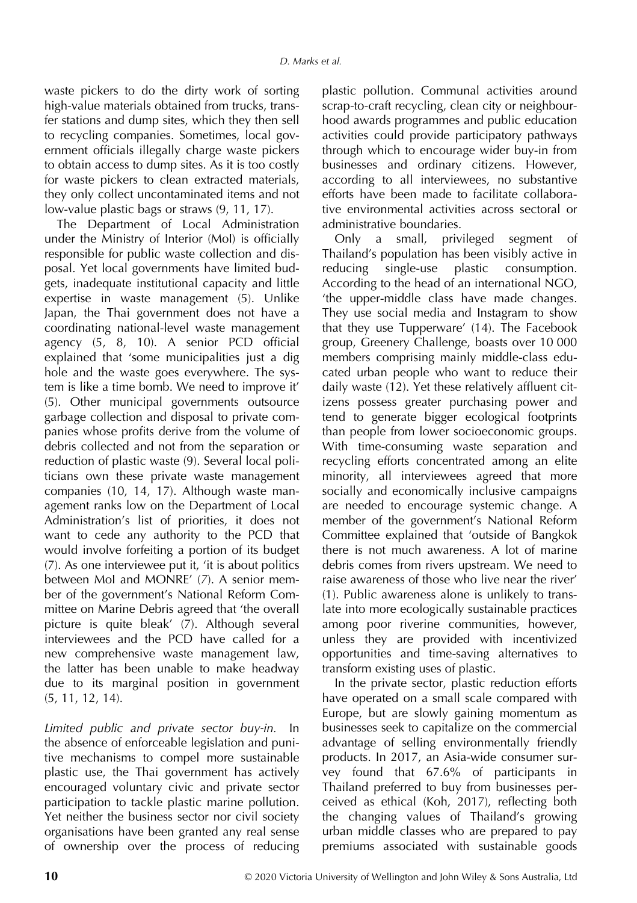waste pickers to do the dirty work of sorting high-value materials obtained from trucks, transfer stations and dump sites, which they then sell to recycling companies. Sometimes, local government officials illegally charge waste pickers to obtain access to dump sites. As it is too costly for waste pickers to clean extracted materials, they only collect uncontaminated items and not low-value plastic bags or straws (9, 11, 17).

The Department of Local Administration under the Ministry of Interior (MoI) is officially responsible for public waste collection and disposal. Yet local governments have limited budgets, inadequate institutional capacity and little expertise in waste management (5). Unlike Japan, the Thai government does not have a coordinating national-level waste management agency (5, 8, 10). A senior PCD official explained that 'some municipalities just a dig hole and the waste goes everywhere. The system is like a time bomb. We need to improve it' (5). Other municipal governments outsource garbage collection and disposal to private companies whose profits derive from the volume of debris collected and not from the separation or reduction of plastic waste (9). Several local politicians own these private waste management companies (10, 14, 17). Although waste management ranks low on the Department of Local Administration's list of priorities, it does not want to cede any authority to the PCD that would involve forfeiting a portion of its budget (7). As one interviewee put it, 'it is about politics between MoI and MONRE' (7). A senior member of the government's National Reform Committee on Marine Debris agreed that 'the overall picture is quite bleak' (7). Although several interviewees and the PCD have called for a new comprehensive waste management law, the latter has been unable to make headway due to its marginal position in government (5, 11, 12, 14).

Limited public and private sector buy-in. In the absence of enforceable legislation and punitive mechanisms to compel more sustainable plastic use, the Thai government has actively encouraged voluntary civic and private sector participation to tackle plastic marine pollution. Yet neither the business sector nor civil society organisations have been granted any real sense of ownership over the process of reducing

plastic pollution. Communal activities around scrap-to-craft recycling, clean city or neighbourhood awards programmes and public education activities could provide participatory pathways through which to encourage wider buy-in from businesses and ordinary citizens. However, according to all interviewees, no substantive efforts have been made to facilitate collaborative environmental activities across sectoral or administrative boundaries.

Only a small, privileged segment of Thailand's population has been visibly active in reducing single-use plastic consumption. According to the head of an international NGO, 'the upper-middle class have made changes. They use social media and Instagram to show that they use Tupperware' (14). The Facebook group, Greenery Challenge, boasts over 10 000 members comprising mainly middle-class educated urban people who want to reduce their daily waste (12). Yet these relatively affluent citizens possess greater purchasing power and tend to generate bigger ecological footprints than people from lower socioeconomic groups. With time-consuming waste separation and recycling efforts concentrated among an elite minority, all interviewees agreed that more socially and economically inclusive campaigns are needed to encourage systemic change. A member of the government's National Reform Committee explained that 'outside of Bangkok there is not much awareness. A lot of marine debris comes from rivers upstream. We need to raise awareness of those who live near the river' (1). Public awareness alone is unlikely to translate into more ecologically sustainable practices among poor riverine communities, however, unless they are provided with incentivized opportunities and time-saving alternatives to transform existing uses of plastic.

In the private sector, plastic reduction efforts have operated on a small scale compared with Europe, but are slowly gaining momentum as businesses seek to capitalize on the commercial advantage of selling environmentally friendly products. In 2017, an Asia-wide consumer survey found that 67.6% of participants in Thailand preferred to buy from businesses perceived as ethical (Koh, 2017), reflecting both the changing values of Thailand's growing urban middle classes who are prepared to pay premiums associated with sustainable goods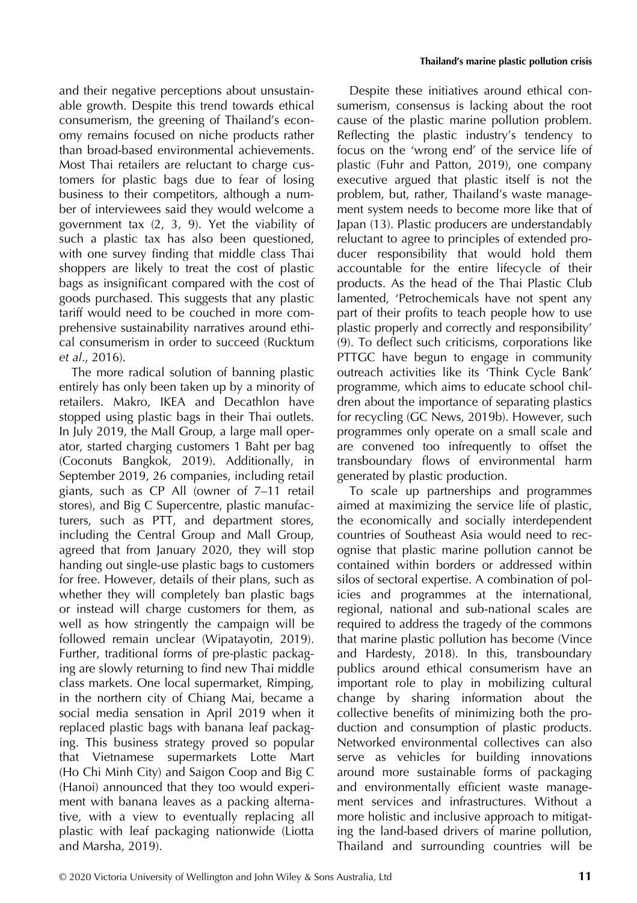and their negative perceptions about unsustainable growth. Despite this trend towards ethical consumerism, the greening of Thailand's economy remains focused on niche products rather than broad-based environmental achievements. Most Thai retailers are reluctant to charge customers for plastic bags due to fear of losing business to their competitors, although a number of interviewees said they would welcome a government tax (2, 3, 9). Yet the viability of such a plastic tax has also been questioned, with one survey finding that middle class Thai shoppers are likely to treat the cost of plastic bags as insignificant compared with the cost of goods purchased. This suggests that any plastic tariff would need to be couched in more comprehensive sustainability narratives around ethical consumerism in order to succeed (Rucktum et al., 2016).

The more radical solution of banning plastic entirely has only been taken up by a minority of retailers. Makro, IKEA and Decathlon have stopped using plastic bags in their Thai outlets. In July 2019, the Mall Group, a large mall operator, started charging customers 1 Baht per bag (Coconuts Bangkok, 2019). Additionally, in September 2019, 26 companies, including retail giants, such as CP All (owner of 7–11 retail stores), and Big C Supercentre, plastic manufacturers, such as PTT, and department stores, including the Central Group and Mall Group, agreed that from January 2020, they will stop handing out single-use plastic bags to customers for free. However, details of their plans, such as whether they will completely ban plastic bags or instead will charge customers for them, as well as how stringently the campaign will be followed remain unclear (Wipatayotin, 2019). Further, traditional forms of pre-plastic packaging are slowly returning to find new Thai middle class markets. One local supermarket, Rimping, in the northern city of Chiang Mai, became a social media sensation in April 2019 when it replaced plastic bags with banana leaf packaging. This business strategy proved so popular that Vietnamese supermarkets Lotte Mart (Ho Chi Minh City) and Saigon Coop and Big C (Hanoi) announced that they too would experiment with banana leaves as a packing alternative, with a view to eventually replacing all plastic with leaf packaging nationwide (Liotta and Marsha, 2019).

Despite these initiatives around ethical consumerism, consensus is lacking about the root cause of the plastic marine pollution problem. Reflecting the plastic industry's tendency to focus on the 'wrong end' of the service life of plastic (Fuhr and Patton, 2019), one company executive argued that plastic itself is not the problem, but, rather, Thailand's waste management system needs to become more like that of Japan (13). Plastic producers are understandably reluctant to agree to principles of extended producer responsibility that would hold them accountable for the entire lifecycle of their products. As the head of the Thai Plastic Club lamented, 'Petrochemicals have not spent any part of their profits to teach people how to use plastic properly and correctly and responsibility' (9). To deflect such criticisms, corporations like PTTGC have begun to engage in community outreach activities like its 'Think Cycle Bank' programme, which aims to educate school children about the importance of separating plastics for recycling (GC News, 2019b). However, such programmes only operate on a small scale and are convened too infrequently to offset the transboundary flows of environmental harm generated by plastic production.

To scale up partnerships and programmes aimed at maximizing the service life of plastic, the economically and socially interdependent countries of Southeast Asia would need to recognise that plastic marine pollution cannot be contained within borders or addressed within silos of sectoral expertise. A combination of policies and programmes at the international, regional, national and sub-national scales are required to address the tragedy of the commons that marine plastic pollution has become (Vince and Hardesty, 2018). In this, transboundary publics around ethical consumerism have an important role to play in mobilizing cultural change by sharing information about the collective benefits of minimizing both the production and consumption of plastic products. Networked environmental collectives can also serve as vehicles for building innovations around more sustainable forms of packaging and environmentally efficient waste management services and infrastructures. Without a more holistic and inclusive approach to mitigating the land-based drivers of marine pollution, Thailand and surrounding countries will be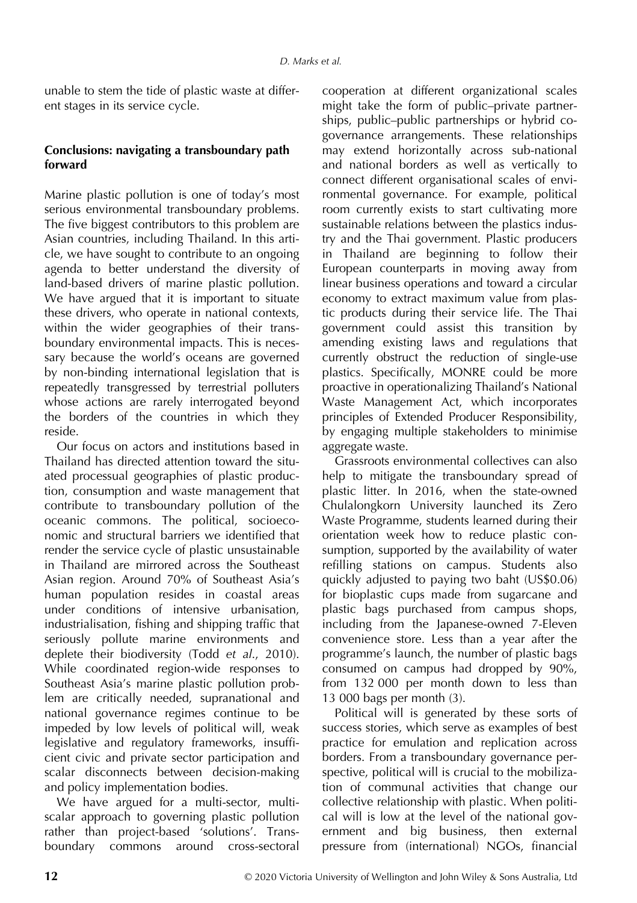unable to stem the tide of plastic waste at different stages in its service cycle.

# Conclusions: navigating a transboundary path forward

Marine plastic pollution is one of today's most serious environmental transboundary problems. The five biggest contributors to this problem are Asian countries, including Thailand. In this article, we have sought to contribute to an ongoing agenda to better understand the diversity of land-based drivers of marine plastic pollution. We have argued that it is important to situate these drivers, who operate in national contexts, within the wider geographies of their transboundary environmental impacts. This is necessary because the world's oceans are governed by non-binding international legislation that is repeatedly transgressed by terrestrial polluters whose actions are rarely interrogated beyond the borders of the countries in which they reside.

Our focus on actors and institutions based in Thailand has directed attention toward the situated processual geographies of plastic production, consumption and waste management that contribute to transboundary pollution of the oceanic commons. The political, socioeconomic and structural barriers we identified that render the service cycle of plastic unsustainable in Thailand are mirrored across the Southeast Asian region. Around 70% of Southeast Asia's human population resides in coastal areas under conditions of intensive urbanisation, industrialisation, fishing and shipping traffic that seriously pollute marine environments and deplete their biodiversity (Todd et al., 2010). While coordinated region-wide responses to Southeast Asia's marine plastic pollution problem are critically needed, supranational and national governance regimes continue to be impeded by low levels of political will, weak legislative and regulatory frameworks, insufficient civic and private sector participation and scalar disconnects between decision-making and policy implementation bodies.

We have argued for a multi-sector, multiscalar approach to governing plastic pollution rather than project-based 'solutions'. Transboundary commons around cross-sectoral

cooperation at different organizational scales might take the form of public–private partnerships, public–public partnerships or hybrid cogovernance arrangements. These relationships may extend horizontally across sub-national and national borders as well as vertically to connect different organisational scales of environmental governance. For example, political room currently exists to start cultivating more sustainable relations between the plastics industry and the Thai government. Plastic producers in Thailand are beginning to follow their European counterparts in moving away from linear business operations and toward a circular economy to extract maximum value from plastic products during their service life. The Thai government could assist this transition by amending existing laws and regulations that currently obstruct the reduction of single-use plastics. Specifically, MONRE could be more proactive in operationalizing Thailand's National Waste Management Act, which incorporates principles of Extended Producer Responsibility, by engaging multiple stakeholders to minimise aggregate waste.

Grassroots environmental collectives can also help to mitigate the transboundary spread of plastic litter. In 2016, when the state-owned Chulalongkorn University launched its Zero Waste Programme, students learned during their orientation week how to reduce plastic consumption, supported by the availability of water refilling stations on campus. Students also quickly adjusted to paying two baht (US\$0.06) for bioplastic cups made from sugarcane and plastic bags purchased from campus shops, including from the Japanese-owned 7-Eleven convenience store. Less than a year after the programme's launch, the number of plastic bags consumed on campus had dropped by 90%, from 132 000 per month down to less than 13 000 bags per month (3).

Political will is generated by these sorts of success stories, which serve as examples of best practice for emulation and replication across borders. From a transboundary governance perspective, political will is crucial to the mobilization of communal activities that change our collective relationship with plastic. When political will is low at the level of the national government and big business, then external pressure from (international) NGOs, financial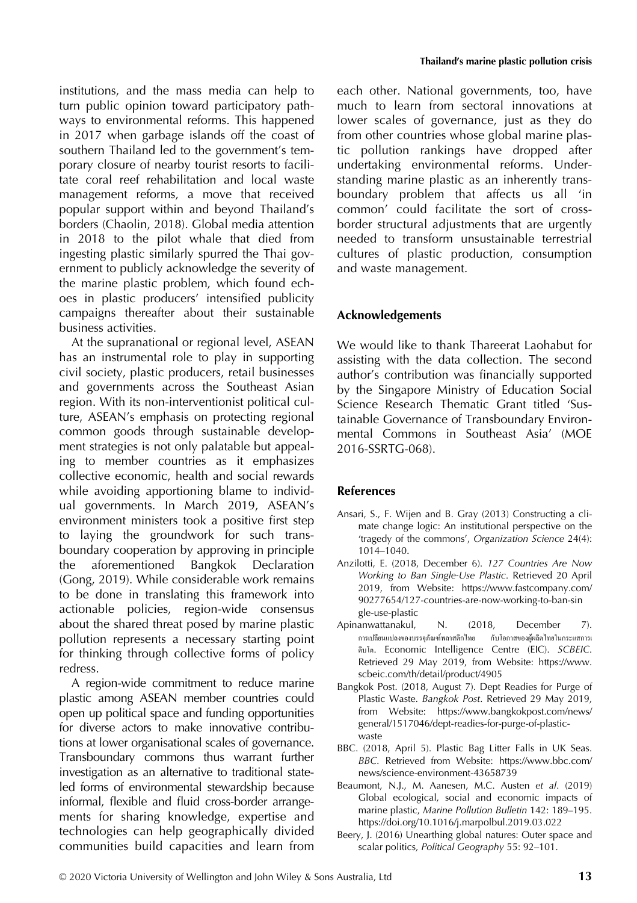institutions, and the mass media can help to turn public opinion toward participatory pathways to environmental reforms. This happened in 2017 when garbage islands off the coast of southern Thailand led to the government's temporary closure of nearby tourist resorts to facilitate coral reef rehabilitation and local waste management reforms, a move that received popular support within and beyond Thailand's borders (Chaolin, 2018). Global media attention in 2018 to the pilot whale that died from ingesting plastic similarly spurred the Thai government to publicly acknowledge the severity of the marine plastic problem, which found echoes in plastic producers' intensified publicity campaigns thereafter about their sustainable business activities.

At the supranational or regional level, ASEAN has an instrumental role to play in supporting civil society, plastic producers, retail businesses and governments across the Southeast Asian region. With its non-interventionist political culture, ASEAN's emphasis on protecting regional common goods through sustainable development strategies is not only palatable but appealing to member countries as it emphasizes collective economic, health and social rewards while avoiding apportioning blame to individual governments. In March 2019, ASEAN's environment ministers took a positive first step to laying the groundwork for such transboundary cooperation by approving in principle the aforementioned Bangkok Declaration (Gong, 2019). While considerable work remains to be done in translating this framework into actionable policies, region-wide consensus about the shared threat posed by marine plastic pollution represents a necessary starting point for thinking through collective forms of policy redress.

A region-wide commitment to reduce marine plastic among ASEAN member countries could open up political space and funding opportunities for diverse actors to make innovative contributions at lower organisational scales of governance. Transboundary commons thus warrant further investigation as an alternative to traditional stateled forms of environmental stewardship because informal, flexible and fluid cross-border arrangements for sharing knowledge, expertise and technologies can help geographically divided communities build capacities and learn from

each other. National governments, too, have much to learn from sectoral innovations at lower scales of governance, just as they do from other countries whose global marine plastic pollution rankings have dropped after undertaking environmental reforms. Understanding marine plastic as an inherently transboundary problem that affects us all 'in common' could facilitate the sort of crossborder structural adjustments that are urgently needed to transform unsustainable terrestrial cultures of plastic production, consumption and waste management.

#### Acknowledgements

We would like to thank Thareerat Laohabut for assisting with the data collection. The second author's contribution was financially supported by the Singapore Ministry of Education Social Science Research Thematic Grant titled 'Sustainable Governance of Transboundary Environmental Commons in Southeast Asia' (MOE 2016-SSRTG-068).

#### References

- Ansari, S., F. Wijen and B. Gray (2013) Constructing a climate change logic: An institutional perspective on the 'tragedy of the commons', Organization Science 24(4): 1014–1040.
- Anzilotti, E. (2018, December 6). 127 Countries Are Now Working to Ban Single-Use Plastic. Retrieved 20 April 2019, from Website: [https://www.fastcompany.com/](https://www.fastcompany.com/90277654/127-countries-are-now-working-to-ban-single-use-plastic) [90277654/127-countries-are-now-working-to-ban-sin](https://www.fastcompany.com/90277654/127-countries-are-now-working-to-ban-single-use-plastic) [gle-use-plastic](https://www.fastcompany.com/90277654/127-countries-are-now-working-to-ban-single-use-plastic)
- Apinanwattanakul, N. (2018, December 7). การเปลี่ยนแปลงของบรรจุภัณฑ์พลาสติกไทย กับโอกาสของผู้ผลิตไทยในกระแสการเ ติบโต. Economic Intelligence Centre (EIC). SCBEIC. Retrieved 29 May 2019, from Website: [https://www.](https://www.scbeic.com/th/detail/product/4905) [scbeic.com/th/detail/product/4905](https://www.scbeic.com/th/detail/product/4905)
- Bangkok Post. (2018, August 7). Dept Readies for Purge of Plastic Waste. Bangkok Post. Retrieved 29 May 2019, from Website: [https://www.bangkokpost.com/news/](https://www.bangkokpost.com/news/general/1517046/dept-readies-for-purge-of-plastic-waste) [general/1517046/dept-readies-for-purge-of-plastic](https://www.bangkokpost.com/news/general/1517046/dept-readies-for-purge-of-plastic-waste)[waste](https://www.bangkokpost.com/news/general/1517046/dept-readies-for-purge-of-plastic-waste)
- BBC. (2018, April 5). Plastic Bag Litter Falls in UK Seas. BBC. Retrieved from Website: [https://www.bbc.com/](https://www.bbc.com/news/science-environment-43658739) [news/science-environment-43658739](https://www.bbc.com/news/science-environment-43658739)
- Beaumont, N.J., M. Aanesen, M.C. Austen et al. (2019) Global ecological, social and economic impacts of marine plastic, Marine Pollution Bulletin 142: 189–195. <https://doi.org/10.1016/j.marpolbul.2019.03.022>
- Beery, J. (2016) Unearthing global natures: Outer space and scalar politics, Political Geography 55: 92–101.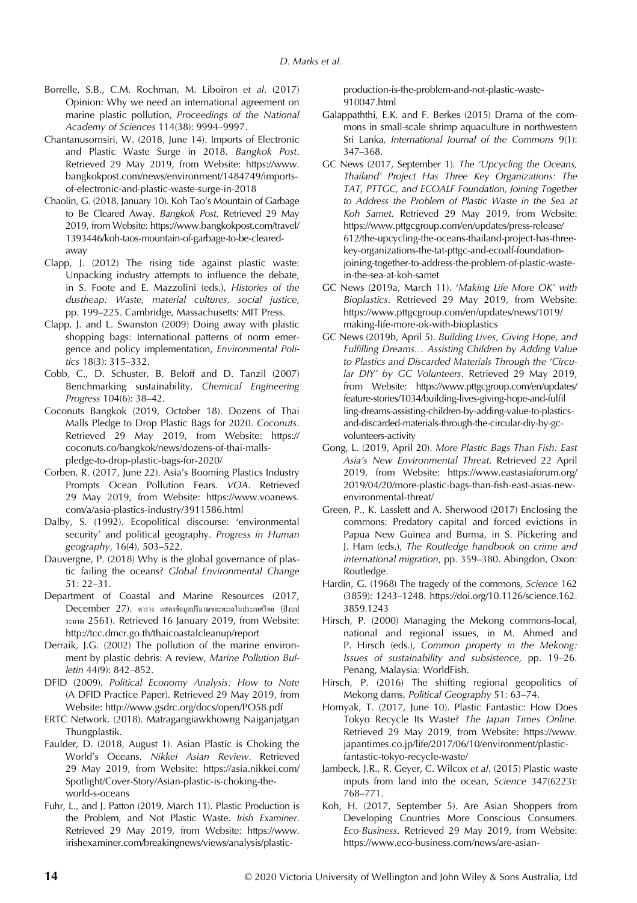- Borrelle, S.B., C.M. Rochman, M. Liboiron et al. (2017) Opinion: Why we need an international agreement on marine plastic pollution, Proceedings of the National Academy of Sciences 114(38): 9994–9997.
- Chantanusornsiri, W. (2018, June 14). Imports of Electronic and Plastic Waste Surge in 2018. Bangkok Post. Retrieved 29 May 2019, from Website: [https://www.](https://www.bangkokpost.com/news/environment/1484749/imports-of-electronic-and-plastic-waste-surge-in-2018) [bangkokpost.com/news/environment/1484749/imports](https://www.bangkokpost.com/news/environment/1484749/imports-of-electronic-and-plastic-waste-surge-in-2018)[of-electronic-and-plastic-waste-surge-in-2018](https://www.bangkokpost.com/news/environment/1484749/imports-of-electronic-and-plastic-waste-surge-in-2018)
- Chaolin, G. (2018, January 10). Koh Tao's Mountain of Garbage to Be Cleared Away. Bangkok Post. Retrieved 29 May 2019, from Website: [https://www.bangkokpost.com/travel/](https://www.bangkokpost.com/travel/1393446/koh-taos-mountain-of-garbage-to-be-cleared-away) [1393446/koh-taos-mountain-of-garbage-to-be-cleared](https://www.bangkokpost.com/travel/1393446/koh-taos-mountain-of-garbage-to-be-cleared-away)[away](https://www.bangkokpost.com/travel/1393446/koh-taos-mountain-of-garbage-to-be-cleared-away)
- Clapp, J. (2012) The rising tide against plastic waste: Unpacking industry attempts to influence the debate, in S. Foote and E. Mazzolini (eds.), Histories of the dustheap: Waste, material cultures, social justice, pp. 199–225. Cambridge, Massachusetts: MIT Press.
- Clapp, J. and L. Swanston (2009) Doing away with plastic shopping bags: International patterns of norm emergence and policy implementation, Environmental Politics 18(3): 315–332.
- Cobb, C., D. Schuster, B. Beloff and D. Tanzil (2007) Benchmarking sustainability, Chemical Engineering Progress 104(6): 38–42.
- Coconuts Bangkok (2019, October 18). Dozens of Thai Malls Pledge to Drop Plastic Bags for 2020. Coconuts. Retrieved 29 May 2019, from Website: [https://](https://coconuts.co/bangkok/news/dozens-of-thai-malls-pledge-to-drop-plastic-bags-for-2020/) [coconuts.co/bangkok/news/dozens-of-thai-malls](https://coconuts.co/bangkok/news/dozens-of-thai-malls-pledge-to-drop-plastic-bags-for-2020/)[pledge-to-drop-plastic-bags-for-2020/](https://coconuts.co/bangkok/news/dozens-of-thai-malls-pledge-to-drop-plastic-bags-for-2020/)
- Corben, R. (2017, June 22). Asia's Booming Plastics Industry Prompts Ocean Pollution Fears. VOA. Retrieved 29 May 2019, from Website: [https://www.voanews.](https://www.voanews.com/a/asia-plastics-industry/3911586.html) [com/a/asia-plastics-industry/3911586.html](https://www.voanews.com/a/asia-plastics-industry/3911586.html)
- Dalby, S. (1992). Ecopolitical discourse: 'environmental security' and political geography. Progress in Human geography, 16(4), 503–522.
- Dauvergne, P. (2018) Why is the global governance of plastic failing the oceans? Global Environmental Change 51: 22–31.
- Department of Coastal and Marine Resources (2017, December 27). ตาราง แสดงข้อมูลปริมาณขยะทะเลในประเทศไทย (ปีงบป ระมาณ 2561). Retrieved 16 January 2019, from Website: <http://tcc.dmcr.go.th/thaicoastalcleanup/report>
- Derraik, J.G. (2002) The pollution of the marine environment by plastic debris: A review, Marine Pollution Bulletin 44(9): 842–852.
- DFID (2009). Political Economy Analysis: How to Note (A DFID Practice Paper). Retrieved 29 May 2019, from Website:<http://www.gsdrc.org/docs/open/PO58.pdf>
- ERTC Network. (2018). Matragangiawkhowng Naiganjatgan Thungplastik.
- Faulder, D. (2018, August 1). Asian Plastic is Choking the World's Oceans. Nikkei Asian Review. Retrieved 29 May 2019, from Website: [https://asia.nikkei.com/](https://asia.nikkei.com/Spotlight/Cover-Story/Asian-plastic-is-choking-the-world-s-oceans) [Spotlight/Cover-Story/Asian-plastic-is-choking-the](https://asia.nikkei.com/Spotlight/Cover-Story/Asian-plastic-is-choking-the-world-s-oceans)[world-s-oceans](https://asia.nikkei.com/Spotlight/Cover-Story/Asian-plastic-is-choking-the-world-s-oceans)
- Fuhr, L., and J. Patton (2019, March 11). Plastic Production is the Problem, and Not Plastic Waste. Irish Examiner. Retrieved 29 May 2019, from Website: [https://www.](https://www.irishexaminer.com/breakingnews/views/analysis/plastic-production-is-the-problem-and-not-plastic-waste-910047.html) [irishexaminer.com/breakingnews/views/analysis/plastic-](https://www.irishexaminer.com/breakingnews/views/analysis/plastic-production-is-the-problem-and-not-plastic-waste-910047.html)

[production-is-the-problem-and-not-plastic-waste-](https://www.irishexaminer.com/breakingnews/views/analysis/plastic-production-is-the-problem-and-not-plastic-waste-910047.html)[910047.html](https://www.irishexaminer.com/breakingnews/views/analysis/plastic-production-is-the-problem-and-not-plastic-waste-910047.html)

- Galappaththi, E.K. and F. Berkes (2015) Drama of the commons in small-scale shrimp aquaculture in northwestern Sri Lanka, International Journal of the Commons 9(1): 347–368.
- GC News (2017, September 1). The 'Upcycling the Oceans, Thailand' Project Has Three Key Organizations: The TAT, PTTGC, and ECOALF Foundation, Joining Together to Address the Problem of Plastic Waste in the Sea at Koh Samet. Retrieved 29 May 2019, from Website: [https://www.pttgcgroup.com/en/updates/press-release/](https://www.pttgcgroup.com/en/updates/press-release/612/the-upcycling-the-oceans-thailand-project-has-three-key-organizations-the-tat-pttgc-and-ecoalf-foundation-joining-together-to-address-the-problem-of-plastic-waste-in-the-sea-at-koh-samet) [612/the-upcycling-the-oceans-thailand-project-has-three](https://www.pttgcgroup.com/en/updates/press-release/612/the-upcycling-the-oceans-thailand-project-has-three-key-organizations-the-tat-pttgc-and-ecoalf-foundation-joining-together-to-address-the-problem-of-plastic-waste-in-the-sea-at-koh-samet)[key-organizations-the-tat-pttgc-and-ecoalf-foundation](https://www.pttgcgroup.com/en/updates/press-release/612/the-upcycling-the-oceans-thailand-project-has-three-key-organizations-the-tat-pttgc-and-ecoalf-foundation-joining-together-to-address-the-problem-of-plastic-waste-in-the-sea-at-koh-samet)[joining-together-to-address-the-problem-of-plastic-waste](https://www.pttgcgroup.com/en/updates/press-release/612/the-upcycling-the-oceans-thailand-project-has-three-key-organizations-the-tat-pttgc-and-ecoalf-foundation-joining-together-to-address-the-problem-of-plastic-waste-in-the-sea-at-koh-samet)[in-the-sea-at-koh-samet](https://www.pttgcgroup.com/en/updates/press-release/612/the-upcycling-the-oceans-thailand-project-has-three-key-organizations-the-tat-pttgc-and-ecoalf-foundation-joining-together-to-address-the-problem-of-plastic-waste-in-the-sea-at-koh-samet)
- GC News (2019a, March 11). 'Making Life More OK' with Bioplastics. Retrieved 29 May 2019, from Website: [https://www.pttgcgroup.com/en/updates/news/1019/](https://www.pttgcgroup.com/en/updates/news/1019/making-life-more-ok-with-bioplastics) [making-life-more-ok-with-bioplastics](https://www.pttgcgroup.com/en/updates/news/1019/making-life-more-ok-with-bioplastics)
- GC News (2019b, April 5). Building Lives, Giving Hope, and Fulfilling Dreams… Assisting Children by Adding Value to Plastics and Discarded Materials Through the 'Circular DIY' by GC Volunteers. Retrieved 29 May 2019, from Website: [https://www.pttgcgroup.com/en/updates/](https://www.pttgcgroup.com/en/updates/feature-stories/1034/building-lives-giving-hope-and-fulfilling-dreams-assisting-children-by-adding-value-to-plastics-and-discarded-materials-through-the-circular-diy-by-gc-volunteers-activity) [feature-stories/1034/building-lives-giving-hope-and-ful](https://www.pttgcgroup.com/en/updates/feature-stories/1034/building-lives-giving-hope-and-fulfilling-dreams-assisting-children-by-adding-value-to-plastics-and-discarded-materials-through-the-circular-diy-by-gc-volunteers-activity)fil [ling-dreams-assisting-children-by-adding-value-to-plastics](https://www.pttgcgroup.com/en/updates/feature-stories/1034/building-lives-giving-hope-and-fulfilling-dreams-assisting-children-by-adding-value-to-plastics-and-discarded-materials-through-the-circular-diy-by-gc-volunteers-activity)[and-discarded-materials-through-the-circular-diy-by-gc](https://www.pttgcgroup.com/en/updates/feature-stories/1034/building-lives-giving-hope-and-fulfilling-dreams-assisting-children-by-adding-value-to-plastics-and-discarded-materials-through-the-circular-diy-by-gc-volunteers-activity)[volunteers-activity](https://www.pttgcgroup.com/en/updates/feature-stories/1034/building-lives-giving-hope-and-fulfilling-dreams-assisting-children-by-adding-value-to-plastics-and-discarded-materials-through-the-circular-diy-by-gc-volunteers-activity)
- Gong, L. (2019, April 20). More Plastic Bags Than Fish: East Asia's New Environmental Threat. Retrieved 22 April 2019, from Website: [https://www.eastasiaforum.org/](https://www.eastasiaforum.org/2019/04/20/more-plastic-bags-than-fish-east-asias-new-environmental-threat/) [2019/04/20/more-plastic-bags-than-](https://www.eastasiaforum.org/2019/04/20/more-plastic-bags-than-fish-east-asias-new-environmental-threat/)fish-east-asias-new[environmental-threat/](https://www.eastasiaforum.org/2019/04/20/more-plastic-bags-than-fish-east-asias-new-environmental-threat/)
- Green, P., K. Lasslett and A. Sherwood (2017) Enclosing the commons: Predatory capital and forced evictions in Papua New Guinea and Burma, in S. Pickering and J. Ham (eds.), The Routledge handbook on crime and international migration, pp. 359–380. Abingdon, Oxon: Routledge.
- Hardin, G. (1968) The tragedy of the commons, Science 162 (3859): 1243–1248. [https://doi.org/10.1126/science.162.](https://doi.org/10.1126/science.162.3859.1243) [3859.1243](https://doi.org/10.1126/science.162.3859.1243)
- Hirsch, P. (2000) Managing the Mekong commons-local, national and regional issues, in M. Ahmed and P. Hirsch (eds.), Common property in the Mekong: Issues of sustainability and subsistence, pp. 19–26. Penang, Malaysia: WorldFish.
- Hirsch, P. (2016) The shifting regional geopolitics of Mekong dams, Political Geography 51: 63–74.
- Hornyak, T. (2017, June 10). Plastic Fantastic: How Does Tokyo Recycle Its Waste? The Japan Times Online. Retrieved 29 May 2019, from Website: [https://www.](https://www.japantimes.co.jp/life/2017/06/10/environment/plastic-fantastic-tokyo-recycle-waste/) [japantimes.co.jp/life/2017/06/10/environment/plastic](https://www.japantimes.co.jp/life/2017/06/10/environment/plastic-fantastic-tokyo-recycle-waste/)[fantastic-tokyo-recycle-waste/](https://www.japantimes.co.jp/life/2017/06/10/environment/plastic-fantastic-tokyo-recycle-waste/)
- Jambeck, J.R., R. Geyer, C. Wilcox et al. (2015) Plastic waste inputs from land into the ocean, Science 347(6223): 768–771.
- Koh, H. (2017, September 5). Are Asian Shoppers from Developing Countries More Conscious Consumers. Eco-Business. Retrieved 29 May 2019, from Website: [https://www.eco-business.com/news/are-asian-](https://www.eco-business.com/news/are-asian-shoppers-from-developing-countries-more-conscious-consumers/)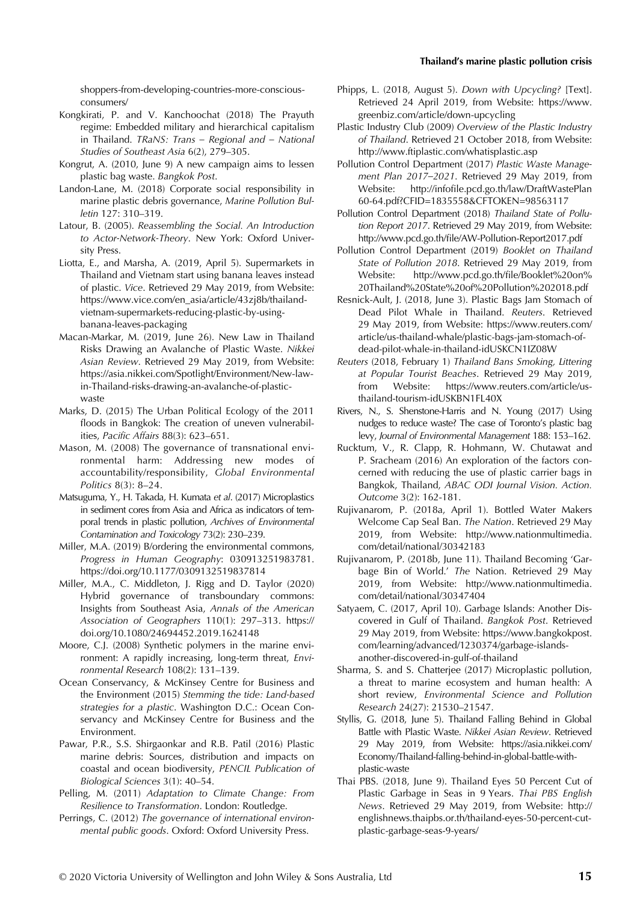#### Thailand's marine plastic pollution crisis

[shoppers-from-developing-countries-more-conscious](https://www.eco-business.com/news/are-asian-shoppers-from-developing-countries-more-conscious-consumers/)[consumers/](https://www.eco-business.com/news/are-asian-shoppers-from-developing-countries-more-conscious-consumers/)

- Kongkirati, P. and V. Kanchoochat (2018) The Prayuth regime: Embedded military and hierarchical capitalism in Thailand. TRaNS: Trans – Regional and – National Studies of Southeast Asia 6(2), 279–305.
- Kongrut, A. (2010, June 9) A new campaign aims to lessen plastic bag waste. Bangkok Post.
- Landon-Lane, M. (2018) Corporate social responsibility in marine plastic debris governance, Marine Pollution Bulletin 127: 310–319.
- Latour, B. (2005). Reassembling the Social. An Introduction to Actor-Network-Theory. New York: Oxford University Press.
- Liotta, E., and Marsha, A. (2019, April 5). Supermarkets in Thailand and Vietnam start using banana leaves instead of plastic. Vice. Retrieved 29 May 2019, from Website: [https://www.vice.com/en\\_asia/article/43zj8b/thailand](https://www.vice.com/en_asia/article/43zj8b/thailand-vietnam-supermarkets-reducing-plastic-by-using-banana-leaves-packaging)[vietnam-supermarkets-reducing-plastic-by-using](https://www.vice.com/en_asia/article/43zj8b/thailand-vietnam-supermarkets-reducing-plastic-by-using-banana-leaves-packaging)[banana-leaves-packaging](https://www.vice.com/en_asia/article/43zj8b/thailand-vietnam-supermarkets-reducing-plastic-by-using-banana-leaves-packaging)
- Macan-Markar, M. (2019, June 26). New Law in Thailand Risks Drawing an Avalanche of Plastic Waste. Nikkei Asian Review. Retrieved 29 May 2019, from Website: [https://asia.nikkei.com/Spotlight/Environment/New-law](https://asia.nikkei.com/Spotlight/Environment/New-law-in-Thailand-risks-drawing-an-avalanche-of-plastic-waste)[in-Thailand-risks-drawing-an-avalanche-of-plastic](https://asia.nikkei.com/Spotlight/Environment/New-law-in-Thailand-risks-drawing-an-avalanche-of-plastic-waste)[waste](https://asia.nikkei.com/Spotlight/Environment/New-law-in-Thailand-risks-drawing-an-avalanche-of-plastic-waste)
- Marks, D. (2015) The Urban Political Ecology of the 2011 floods in Bangkok: The creation of uneven vulnerabilities, Pacific Affairs 88(3): 623–651.
- Mason, M. (2008) The governance of transnational environmental harm: Addressing new modes of accountability/responsibility, Global Environmental Politics 8(3): 8–24.
- Matsuguma, Y., H. Takada, H. Kumata et al. (2017) Microplastics in sediment cores from Asia and Africa as indicators of temporal trends in plastic pollution, Archives of Environmental Contamination and Toxicology 73(2): 230–239.
- Miller, M.A. (2019) B/ordering the environmental commons, Progress in Human Geography: 030913251983781. <https://doi.org/10.1177/0309132519837814>
- Miller, M.A., C. Middleton, J. Rigg and D. Taylor (2020) Hybrid governance of transboundary commons: Insights from Southeast Asia, Annals of the American Association of Geographers 110(1): 297–313. [https://](https://doi.org/10.1080/24694452.2019.1624148) [doi.org/10.1080/24694452.2019.1624148](https://doi.org/10.1080/24694452.2019.1624148)
- Moore, C.J. (2008) Synthetic polymers in the marine environment: A rapidly increasing, long-term threat, Environmental Research 108(2): 131–139.
- Ocean Conservancy, & McKinsey Centre for Business and the Environment (2015) Stemming the tide: Land-based strategies for a plastic. Washington D.C.: Ocean Conservancy and McKinsey Centre for Business and the Environment.
- Pawar, P.R., S.S. Shirgaonkar and R.B. Patil (2016) Plastic marine debris: Sources, distribution and impacts on coastal and ocean biodiversity, PENCIL Publication of Biological Sciences 3(1): 40–54.
- Pelling, M. (2011) Adaptation to Climate Change: From Resilience to Transformation. London: Routledge.
- Perrings, C. (2012) The governance of international environmental public goods. Oxford: Oxford University Press.
- Phipps, L. (2018, August 5). Down with Upcycling? [Text]. Retrieved 24 April 2019, from Website: [https://www.](https://www.greenbiz.com/article/down-upcycling) [greenbiz.com/article/down-upcycling](https://www.greenbiz.com/article/down-upcycling)
- Plastic Industry Club (2009) Overview of the Plastic Industry of Thailand. Retrieved 21 October 2018, from Website: <http://www.ftiplastic.com/whatisplastic.asp>
- Pollution Control Department (2017) Plastic Waste Management Plan 2017–2021. Retrieved 29 May 2019, from Website: http://infofi[le.pcd.go.th/law/DraftWastePlan](http://infofile.pcd.go.th/law/DraftWastePlan60-64.pdf?CFID=1835558&CFTOKEN=98563117) [60-64.pdf?CFID=1835558&CFTOKEN=98563117](http://infofile.pcd.go.th/law/DraftWastePlan60-64.pdf?CFID=1835558&CFTOKEN=98563117)
- Pollution Control Department (2018) Thailand State of Pollution Report 2017. Retrieved 29 May 2019, from Website: http://www.pcd.go.th/fi[le/AW-Pollution-Report2017.pdf](http://www.pcd.go.th/file/AW-Pollution-Report2017.pdf)
- Pollution Control Department (2019) Booklet on Thailand State of Pollution 2018. Retrieved 29 May 2019, from Website: [http://www.pcd.go.th/](http://www.pcd.go.th/file/Booklet%20on%20Thailand%20State%20of%20Pollution%202018.pdf)file/Booklet%20on% [20Thailand%20State%20of%20Pollution%202018.pdf](http://www.pcd.go.th/file/Booklet%20on%20Thailand%20State%20of%20Pollution%202018.pdf)
- Resnick-Ault, J. (2018, June 3). Plastic Bags Jam Stomach of Dead Pilot Whale in Thailand. Reuters. Retrieved 29 May 2019, from Website: [https://www.reuters.com/](https://www.reuters.com/article/us-thailand-whale/plastic-bags-jam-stomach-of-dead-pilot-whale-in-thailand-idUSKCN1IZ08W) [article/us-thailand-whale/plastic-bags-jam-stomach-of](https://www.reuters.com/article/us-thailand-whale/plastic-bags-jam-stomach-of-dead-pilot-whale-in-thailand-idUSKCN1IZ08W)[dead-pilot-whale-in-thailand-idUSKCN1IZ08W](https://www.reuters.com/article/us-thailand-whale/plastic-bags-jam-stomach-of-dead-pilot-whale-in-thailand-idUSKCN1IZ08W)
- Reuters (2018, February 1) Thailand Bans Smoking, Littering at Popular Tourist Beaches. Retrieved 29 May 2019, from Website: [https://www.reuters.com/article/us](https://www.reuters.com/article/us-thailand-tourism-idUSKBN1FL40X)[thailand-tourism-idUSKBN1FL40X](https://www.reuters.com/article/us-thailand-tourism-idUSKBN1FL40X)
- Rivers, N., S. Shenstone-Harris and N. Young (2017) Using nudges to reduce waste? The case of Toronto's plastic bag levy, Journal of Environmental Management 188: 153–162.
- Rucktum, V., R. Clapp, R. Hohmann, W. Chutawat and P. Sracheam (2016) An exploration of the factors concerned with reducing the use of plastic carrier bags in Bangkok, Thailand, ABAC ODI Journal Vision. Action. Outcome 3(2): 162-181.
- Rujivanarom, P. (2018a, April 1). Bottled Water Makers Welcome Cap Seal Ban. The Nation. Retrieved 29 May 2019, from Website: [http://www.nationmultimedia.](http://www.nationmultimedia.com/detail/national/30342183) [com/detail/national/30342183](http://www.nationmultimedia.com/detail/national/30342183)
- Rujivanarom, P. (2018b, June 11). Thailand Becoming 'Garbage Bin of World.' The Nation. Retrieved 29 May 2019, from Website: [http://www.nationmultimedia.](http://www.nationmultimedia.com/detail/national/30347404) [com/detail/national/30347404](http://www.nationmultimedia.com/detail/national/30347404)
- Satyaem, C. (2017, April 10). Garbage Islands: Another Discovered in Gulf of Thailand. Bangkok Post. Retrieved 29 May 2019, from Website: [https://www.bangkokpost.](https://www.bangkokpost.com/learning/advanced/1230374/garbage-islands-another-discovered-in-gulf-of-thailand) [com/learning/advanced/1230374/garbage-islands](https://www.bangkokpost.com/learning/advanced/1230374/garbage-islands-another-discovered-in-gulf-of-thailand)[another-discovered-in-gulf-of-thailand](https://www.bangkokpost.com/learning/advanced/1230374/garbage-islands-another-discovered-in-gulf-of-thailand)
- Sharma, S. and S. Chatterjee (2017) Microplastic pollution, a threat to marine ecosystem and human health: A short review, Environmental Science and Pollution Research 24(27): 21530–21547.
- Styllis, G. (2018, June 5). Thailand Falling Behind in Global Battle with Plastic Waste. Nikkei Asian Review. Retrieved 29 May 2019, from Website: [https://asia.nikkei.com/](https://asia.nikkei.com/Economy/Thailand-falling-behind-in-global-battle-with-plastic-waste) [Economy/Thailand-falling-behind-in-global-battle-with](https://asia.nikkei.com/Economy/Thailand-falling-behind-in-global-battle-with-plastic-waste)[plastic-waste](https://asia.nikkei.com/Economy/Thailand-falling-behind-in-global-battle-with-plastic-waste)
- Thai PBS. (2018, June 9). Thailand Eyes 50 Percent Cut of Plastic Garbage in Seas in 9 Years. Thai PBS English News. Retrieved 29 May 2019, from Website: [http://](http://englishnews.thaipbs.or.th/thailand-eyes-50-percent-cut-plastic-garbage-seas-9-years/) [englishnews.thaipbs.or.th/thailand-eyes-50-percent-cut](http://englishnews.thaipbs.or.th/thailand-eyes-50-percent-cut-plastic-garbage-seas-9-years/)[plastic-garbage-seas-9-years/](http://englishnews.thaipbs.or.th/thailand-eyes-50-percent-cut-plastic-garbage-seas-9-years/)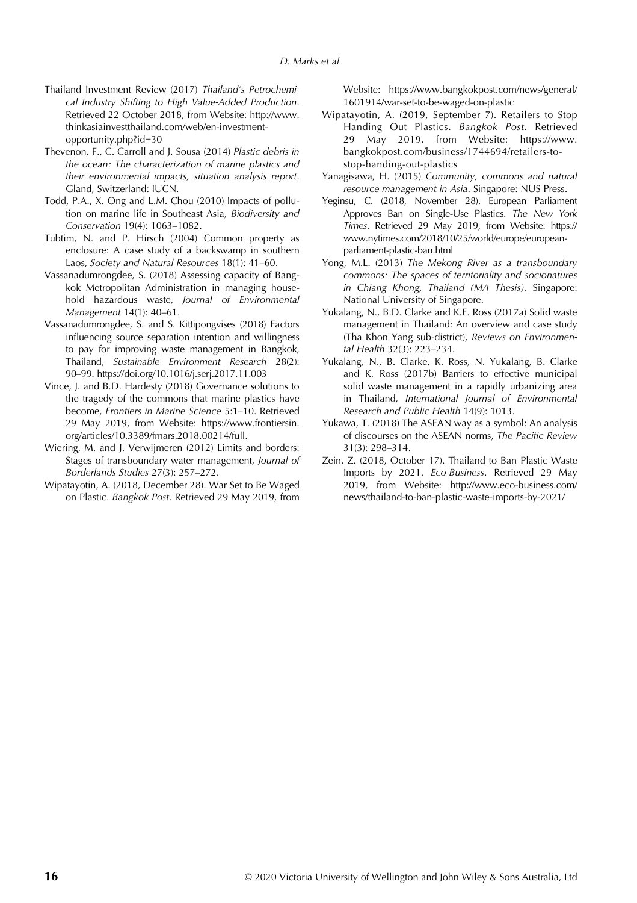- Thailand Investment Review (2017) Thailand's Petrochemical Industry Shifting to High Value-Added Production. Retrieved 22 October 2018, from Website: [http://www.](http://www.thinkasiainvestthailand.com/web/en-investment-opportunity.php?id=30) [thinkasiainvestthailand.com/web/en-investment](http://www.thinkasiainvestthailand.com/web/en-investment-opportunity.php?id=30)[opportunity.php?id=30](http://www.thinkasiainvestthailand.com/web/en-investment-opportunity.php?id=30)
- Thevenon, F., C. Carroll and J. Sousa (2014) Plastic debris in the ocean: The characterization of marine plastics and their environmental impacts, situation analysis report. Gland, Switzerland: IUCN.
- Todd, P.A., X. Ong and L.M. Chou (2010) Impacts of pollution on marine life in Southeast Asia, Biodiversity and Conservation 19(4): 1063–1082.
- Tubtim, N. and P. Hirsch (2004) Common property as enclosure: A case study of a backswamp in southern Laos, Society and Natural Resources 18(1): 41–60.
- Vassanadumrongdee, S. (2018) Assessing capacity of Bangkok Metropolitan Administration in managing household hazardous waste, Journal of Environmental Management 14(1): 40–61.
- Vassanadumrongdee, S. and S. Kittipongvises (2018) Factors influencing source separation intention and willingness to pay for improving waste management in Bangkok, Thailand, Sustainable Environment Research 28(2): 90–99.<https://doi.org/10.1016/j.serj.2017.11.003>
- Vince, J. and B.D. Hardesty (2018) Governance solutions to the tragedy of the commons that marine plastics have become, Frontiers in Marine Science 5:1–10. Retrieved 29 May 2019, from Website: [https://www.frontiersin.](https://www.frontiersin.org/articles/10.3389/fmars.2018.00214/full) [org/articles/10.3389/fmars.2018.00214/full.](https://www.frontiersin.org/articles/10.3389/fmars.2018.00214/full)
- Wiering, M. and J. Verwijmeren (2012) Limits and borders: Stages of transboundary water management, Journal of Borderlands Studies 27(3): 257–272.
- Wipatayotin, A. (2018, December 28). War Set to Be Waged on Plastic. Bangkok Post. Retrieved 29 May 2019, from

Website: [https://www.bangkokpost.com/news/general/](https://www.bangkokpost.com/news/general/1601914/war-set-to-be-waged-on-plastic) [1601914/war-set-to-be-waged-on-plastic](https://www.bangkokpost.com/news/general/1601914/war-set-to-be-waged-on-plastic)

- Wipatayotin, A. (2019, September 7). Retailers to Stop Handing Out Plastics. Bangkok Post. Retrieved 29 May 2019, from Website: [https://www.](https://www.bangkokpost.com/business/1744694/retailers-to-stop-handing-out-plastics) [bangkokpost.com/business/1744694/retailers-to](https://www.bangkokpost.com/business/1744694/retailers-to-stop-handing-out-plastics)[stop-handing-out-plastics](https://www.bangkokpost.com/business/1744694/retailers-to-stop-handing-out-plastics)
- Yanagisawa, H. (2015) Community, commons and natural resource management in Asia. Singapore: NUS Press.
- Yeginsu, C. (2018, November 28). European Parliament Approves Ban on Single-Use Plastics. The New York Times. Retrieved 29 May 2019, from Website: [https://](https://www.nytimes.com/2018/10/25/world/europe/european-parliament-plastic-ban.html) [www.nytimes.com/2018/10/25/world/europe/european](https://www.nytimes.com/2018/10/25/world/europe/european-parliament-plastic-ban.html)[parliament-plastic-ban.html](https://www.nytimes.com/2018/10/25/world/europe/european-parliament-plastic-ban.html)
- Yong, M.L. (2013) The Mekong River as a transboundary commons: The spaces of territoriality and socionatures in Chiang Khong, Thailand (MA Thesis). Singapore: National University of Singapore.
- Yukalang, N., B.D. Clarke and K.E. Ross (2017a) Solid waste management in Thailand: An overview and case study (Tha Khon Yang sub-district), Reviews on Environmental Health 32(3): 223–234.
- Yukalang, N., B. Clarke, K. Ross, N. Yukalang, B. Clarke and K. Ross (2017b) Barriers to effective municipal solid waste management in a rapidly urbanizing area in Thailand, International Journal of Environmental Research and Public Health 14(9): 1013.
- Yukawa, T. (2018) The ASEAN way as a symbol: An analysis of discourses on the ASEAN norms, The Pacific Review 31(3): 298–314.
- Zein, Z. (2018, October 17). Thailand to Ban Plastic Waste Imports by 2021. Eco-Business. Retrieved 29 May 2019, from Website: [http://www.eco-business.com/](http://www.eco-business.com/news/thailand-to-ban-plastic-waste-imports-by-2021/) [news/thailand-to-ban-plastic-waste-imports-by-2021/](http://www.eco-business.com/news/thailand-to-ban-plastic-waste-imports-by-2021/)